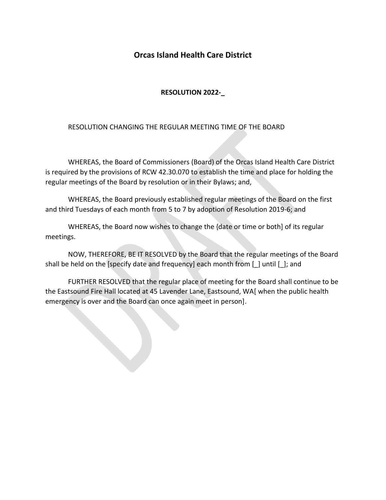## **Orcas Island Health Care District**

## **RESOLUTION 2022-\_**

## RESOLUTION CHANGING THE REGULAR MEETING TIME OF THE BOARD

WHEREAS, the Board of Commissioners (Board) of the Orcas Island Health Care District is required by the provisions of RCW 42.30.070 to establish the time and place for holding the regular meetings of the Board by resolution or in their Bylaws; and,

WHEREAS, the Board previously established regular meetings of the Board on the first and third Tuesdays of each month from 5 to 7 by adoption of Resolution 2019-6; and

WHEREAS, the Board now wishes to change the {date or time or both] of its regular meetings.

NOW, THEREFORE, BE IT RESOLVED by the Board that the regular meetings of the Board shall be held on the [specify date and frequency] each month from [\_] until [\_]; and

FURTHER RESOLVED that the regular place of meeting for the Board shall continue to be the Eastsound Fire Hall located at 45 Lavender Lane, Eastsound, WA[ when the public health emergency is over and the Board can once again meet in person].